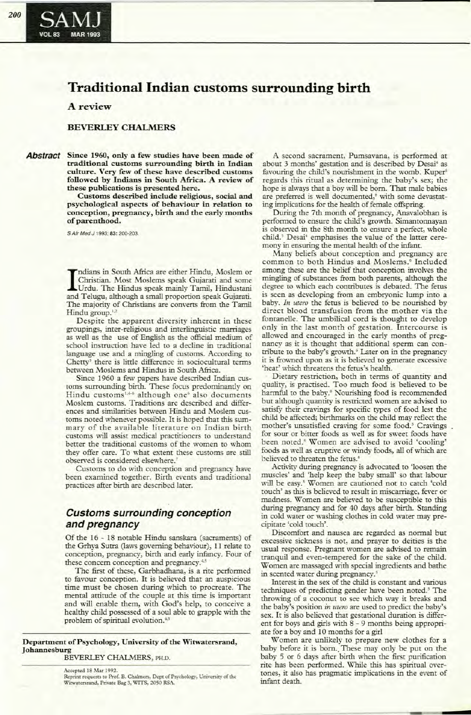# **Traditional Indian customs surrounding birth**

## A review

#### **BEVERLEYCHALMERS**

**Abstract Since 1960, only a few studies have been made of traditional custOIns surrounding birth in Indian culture. Very few** of these **have described customs followed by Indians in South Africa. A review of these publications is presented here.**

**Customs described include religious, social and psychological aspects of behaviour in relation to conception, pregnancy, birth and the early months** of parenthood.

S Air Med J 1993; 83: 200-203.

Indians in South Africa are either Hindu, Moslem of Christian. Most Moslems speak Gujarati and some<br>Urdu. The Hindus speak mainly Tamil, Hindustani<br>and Telugu, although a small proportion speak Gujarati. ndians in South Africa are either Hindu, Moslem or Christian. Most Moslems speak Gujarati and some Urdu. The Hindus speak mainly TamiI, Hindustani The majority of Christians are converts from the TamiI Hindu group.<sup>1,2</sup>

Despite the apparent diversity inherent in these groupings, inter-religious and interIinguistic marriages as well as the use of English as the official medium of school instruction have led to a decline in traditional language use and a mingling of customs. According to Chetty<sup>3</sup> there is little difference in sociocultural terms between Moslems and Hindus in South Africa.

Since 1960 a few papers have described Indian customs surrounding birth. These focus predominantly on Hindu customs<sup>1,4-6</sup> although one<sup>6</sup> also documents Moslem customs. Traditions are described and differences and similarities between Hindu and Moslem customs noted whenever possible. It is hoped that this summary of the available literature on Indian birth customs will assist medical practitioners to understand better the traditional customs of the women to whom they offer care. To what extent these customs are still observed is considered elsewhere.'

Customs to do with conception and pregnancy have been examined together. Birth events and traditional practices after birth are described later.

# **Customs surrounding conception and pregnancy** .

Of the 16 - 18 notable Hindu sanskara (sacraments) of the Grhya Sutra (laws governing behaviour), 11 relate to conception, pregnancy, birth and early infancy. Four of these concern conception and pregnancy.<sup>4</sup>

The first of these, Garbhadhana, is a rite performed to favour conception. It is believed that an auspicious time must be chosen during which to procreate. The mental attitude of the couple at this time is important and will enable them, with God's help, to conceive a healthy child possessed of a soul able to grapple with the problem of spiritual evolution.<sup>4,5</sup>

**Department** of Psychology, University of the Witwatersrand, **Johannesburg**

BEVERLEY CHALMERS, PH.D.

A second sacrament, Pumsavana, is performed at about 3 months' gestation and is described by Desai' as favouring the child's nourishment in the womb. Kuper' regards this ritual as determining the baby's sex; the hope is always that a boy will be born. That male babies are preferred is well documented,<sup>8</sup> with some devastating implications for the health of female offspring.

During the 7th month of pregnancy, Anavalobhan is performed to ensure the child's growth. Simantonnayan is observed in the 8th month to ensure a perfect, whole child.<sup>5</sup> Desai<sup>4</sup> emphasises the value of the latter ceremony in ensuring the mental health of the infant.

Many beliefs about conception and pregnancy are common to both Hindus and Moslems.' Included among these are the belief that conception involves the mingling of substances from both parents, although the degree to which each contributes is debated. The fetus is seen as developing from an embryonic lump into a baby. *In utero* the fetus is believed to be nourished by direct blood transfusion from the mother via the fontanelle. The umbilical cord is thought to develop only in the last month of gestation. Intercourse is allowed and encouraged in the early months of pregnancy as it is thought that additional sperm can contribute to the baby's growth.<sup>6</sup> Later on in the pregnancy it is frowned upon as it is believed to generate excessive 'heat' which threatens the fetus's health,

Dietary restriction, both in terms of quantity and quality, is practised. Too much food is believed to be harmful to the baby.<sup>8</sup> Nourishing food is recommended but although quantity is restricted women are advised to satisfy their cravings for specific types of food lest the child be affected; birthmarks on the child may reflect the mother's unsatisfied craving for some food.' Cravings for sour or bitter foods as well as for sweet foods have been noted." Women are advised to avoid 'cooling' foods as well as eruptive or windy foods, all of which are believed to threaten the fetus.<sup>6</sup>

Activity during pregnancy is advocated to 'loosen the muscles' and 'help keep the baby small' so that labour will be easy.' Women are cautioned not to catch 'cold touch' as this is believed to result in miscarriage, fever or madness. Women are believed to be susceptible to this during pregnancy and for 40 days after birth. Standing in cold water or washing clothes in cold water may precipitate 'cold touch'.

Discomfort and nausea are regarded as normal but excessive sickness is not, and prayer to deities is the usual response. Pregnant women are advised to remain tranquil and even-tempered for the sake of the child. Women are massaged with special ingredients and bathe in scented water during pregnancy.'

Interest in the sex of the child is constant and various techniques of predicting gender have been noted.' The throwing of a coconut to see which way it breaks and the baby's position *in utero* are used to predict the baby's sex. It is also believed that gestational duration is different for boys and girls with 8 - 9 months being appropriate for a boy and 10 months for a girl

Women are unlikely to prepare new clothes for a baby before it is born. These may only be put on the baby 5 or 6 days after birth when the first purification rite has been performed. While this has spiritual overtones, it also has pragmatic implications in the event of infant death.

Accepted 18 Mar 1992. Reprint requests to Prof. B. Chalmers, Dept of Psychology, University of the<br>Witwatersrand, Private Bag 3, WITS, 2050 RSA.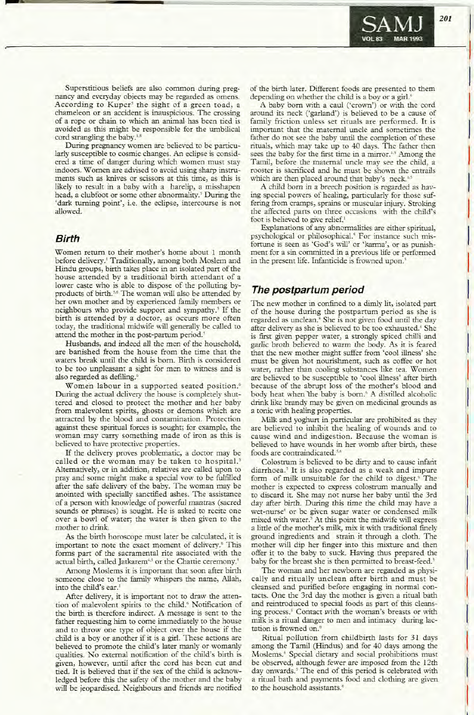

Superstitious beliefs are also common during pregnancy and everyday objects may be regarded as omens. According to Kuper' the sight of a green toad, a chameleon or an accident is inauspicious. The crossing of a rope or chain to which an animal has been tied is avoided as this might be responsible for the umbilical cord strangling the baby.<sup>1,5</sup>

During pregnancy women are believed to be particularly susceptible to cosmic changes. An eclipse is considered a time of danger during which women must stay indoors. Women are advised to avoid using sharp instruments such as knives or scissors at this time, as this is likely to result in a baby with a harelip, a misshapen head, a clubfoot or some other abnormality.' During the 'dark turning point', i.e. the eclipse, intercourse is not allowed.

#### **Birth**

Women return to their mother's home about 1 month before delivery.' Traditionally, among both Moslem and Hindu groups, birth takes place in an isolated part of the house attended by a traditional birth attendant of a lower caste who is able to dispose of the polluting byproducts of birth.<sup>5,6</sup> The woman will also be attended by her own mother and by experienced family members or neighbours who provide support and sympathy.<sup>5</sup> If the birth is attended by a doctor, as occurs more often today, the traditional midwife will generally be called to attend the mother in the post-partum period.'

Husbands, and indeed all the men of the household, are banished from the house from the time that the waters break until the child is born. Birth is considered to be too unpleasant a sight for men to witness and is also regarded as defiling."

Women labour in a supported seated position.<sup>6</sup> During the actual delivery the house is completely shuttered and closed to protect the mother and her baby from malevolent spirits, ghosts or demons which are attracted by the blood and contamination. Protection against these spiritual forces is sought; for example, the woman may carry something made of iron as this is believed to have protective properties.

If the delivery proves problematic, a doctor may be called or the woman may be taken to hospital.' Alternatively, or in addition, relatives are called upon to pray and some might make a special vow to be fulfilled after the safe delivery of the baby. The woman may be anointed with specially sanctified ashes. The assistance of a person with knowledge of powerful mantras (sacred sounds or phrases) is sought. He is asked to recite one over a bowl of water; the water is then given to the mother to drink.

As the birth horoscope must later be calculated, it is important to note the exact moment of delivery.<sup>6</sup> This forms part of the sacramental rite associated with the actual birth, called Jatkarem<sup>4,5</sup> or the Chattie ceremony.<sup>4</sup>

Among Moslems it is important that soon after birth someone close to the family whispers the name, Allah, into the child's ear.'

After delivery, it is important not to draw the attention of malevolent spirits to the child." Notification of the birth is therefore indirect. A message is sent to the father requesting him to come immediately to the house and to throw one type of object over the house if the child is a boy or another if it is a girl. These actions are believed to promote the child's later manly or womanly qualities. No external notification of the child's birth is given, however, until after the cord has been cut and tied. It is believed that if the sex of the child is acknowledged before this the safety of the mother and the baby will be jeopardised. Neighbours and friends are notified

of the birth later. Different foods are presented to them depending on whether the child is a boy or a girl."

A baby born with a cauI ('crown') or with the cord around its neck ('garland') is believed to be a cause of family friction unless set rituals are performed. It is important that the maternal uncle and sometimes the father do not see the baby until the completion of these rituals, which may take up to 40 days. The father then sees the baby for the first time in a mirror.<sup>1,5</sup> Among the Tamil, before the maternal uncle may see the child, a rooster is sacrificed and he must be shown the entrails which are then placed around that baby's neck.<sup>14</sup>

A child born in a breech position is regarded as having special powers of healing, panicularly for those suffering from cramps, sprains or muscular injury. Stroking the affected parts on three occasions with the child's foot is believed to give relief.'

Explanations of any abnormalities are either spiritual, psychological or philosophical.' For instance such misfortune is seen as 'God's will' or 'karma', or as punishment for a sin committed in a previous life or performed in the present life. Infanticide is frowned upon.'

#### **The postpartum period**

The new mother in confined to a dimly lit, isolated part of the house during the postpartum period as she is regarded as unclean.<sup>8</sup> She is not given food until the day after delivery as she is believed to be too exhausted." She is first given pepper water, a strongly spiced chilli and garlic broth believed to warm the body. As it is feared that the new mother might suffer from 'cool illness' she must be given hot nourishment, such as coffee or hot water, rather than cooling substances like tea. Women are believed to be susceptible to 'cool illness' after birth because of the abrupt loss of the mother's blood and body heat when the baby is born.<sup>6</sup> A distilled alcoholic drink like brandy may be given on medicinal grounds as a tonic with healing properties.

Milk and yoghurt in particular are prohibited as they are believed to inhibit the healing of wounds and to cause wind and indigestion. Because the woman is believed to have wounds in her womb after birth, these foods are contraindicated.<sup>5,6</sup>

Colostrum is believed to be dirty and to cause infant diarrhoea.' It is also regarded as a weak and impure form of milk unsuitable for the child to digest.' The mother is expected to express colostrum manually and to discard it. She may not nurse her baby until the 3rd day after birth. During this time the child may have a wet-nurse' or be given sugar water or condensed milk mixed with water.' At this point the midwife will express a little of the mother's milk, mix it with traditional finely ground ingredients and strain it through a cloth. The mother will dip her finger into this mixture and then offer it to the baby to suck. Having thus prepared the baby for the breast she is then permitted to breast-feed.'

The woman and her newborn are regarded as physically and ritually unclean after birth and must be cleansed and purified before engaging in normal contacts. One the 3rd day the mother is given a ritual bath and reintroduced to special foods as part of this cleansing process.' Contact with the woman's breasts or with milk is a ritual danger to men and intimacy during lactation is frowned on."

Ritual pollution from childbirth lasts for 31 days among the Tamil (Hindus) and for 40 days among the Moslems." Special dietary and social prohibitions must be observed, although fewer are imposed from the 12th day onwards.' The end of this period is celebrated with a ritual bath and payments food and clothing are given to the household assistants.'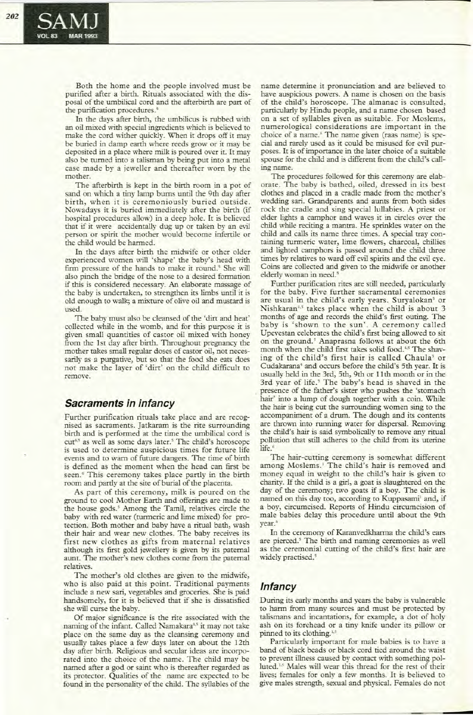Both the home and the people involved must be purified after a birth. Rituals associated with the disposal of the umbilical cord and the afterbirth are part of the purification procedures.'

In the days after birth, the umbilicus is rubbed with an oil mixed with special ingredients which is believed to make the cord wither quickly. When it drops off it may be buried in damp earth where reeds grow or it may be deposited in a place where milk is poured over it. It may also be turned into a talisman by being put into a metal case made by a jeweller and thereafter worn by the mother.

The afterbirth is kept in the birth room in a pot of sand on which a tiny lamp bums until the 9th day after birth, when it is ceremoniously buried outside. Nowadays it is buried immediately after the birth (if hospital procedures allow) in a deep hole. It is believed that if it were accidentally dug up or taken by an evil person or spirit the mother would become infenile or the child would be harmed.

In the days after birth the midwife or other older experienced women will 'shape' the baby's head with firm pressure of the hands to make it round.' She will also pinch the bridge of the nose to a desired formation if this is considered necessary. An elaborate massage of the baby is undertaken, to strengthen its limbs until it is old enough to walk; a mixture of olive oil and mustard is used.

The baby must also be cleansed of the 'dirt and heat' collected while in the womb, and for this purpose it is given small quantities of castor oil mixed with honey from the 1St day after birth. Throughout pregnancy the mother takes small regular doses of castor oil, not necessarily as a purgative, but so that the food she eats does not make the layer of 'dirt' on the child difficult to remove.

## **Sacraments in infancy**

Further purification rituals take place and are recognised as sacraments. Jatkaram is the rite surrounding birth and is performed at the time the umbilical cord is cut<sup>4,5</sup> as well as some days later.<sup>5</sup> The child's horoscope is used to determine auspicious times for future life events and to warn of future dangers. The time of birth is defined as the moment when the head can first be seen.<sup>6</sup> This ceremony takes place partly in the birth room and partly at the site of burial of the placenta.

As part of this ceremony, milk is poured on the ground to cool Mother Earth and offerings are made to the house gods.' Among the Tamil, relatives circle the baby with red water (turmeric and lime mixed) for protection. Both mother and baby have a rimal bath, wash their hair and wear new clothes. The baby receives its first new clothes as gifts from maternal relatives although its first gold jewellery is given by its paternal aunt. The mother's new clothes come from the paternal relatives.

The mother's old clothes are given to the midwife, who is also paid at this point. Traditional payments include a new sari, vegetables and groceries. She is paid handsomely, for it is believed that if she is dissatisfied she will curse the baby.

Of major significance is the rite associated with the naming of the infant. Called Namakara<sup>4,5</sup> it may not take place on the same day as the cleansing ceremony and usually takes place a few days later on about the 12th day after birth. Religious and secular ideas are incorporated into the choice of the name. The child may be named after a god or saint who is thereafter regarded as its prorector. Qualities of the name are expected to be found in the personaliry of the child. The syllables of the

name derermine it pronunciation and are believed to have auspicious powers. A name is chosen on the basis of the child's horoscope. The almanac is consulted, particularly by Hindu people, and a name chosen based on a set of syllables given as suirable. For Moslems, numerological considerations are important in the choice of a name.<sup>6</sup> The name given (raas name) is special and rarely used as it could be misused for evil purposes. It is of importance in the later choice of a suitable spouse for the child and is different from the child's calling name.

The procedures followed for this ceremony are elaborate. The baby is bathed, oiled, dressed in its best clothes and placed in a cradle made from the mother's wedding sari. Grandparents and aunrs from both sides rock the cradle and sing special lullabies. A priest or elder lights a camphor and waves it in circles over the child while reciting a mantra. He sprinkles water on the child and calls its name three times. A special tray containing turmeric water, lime flowers, charcoal, chillies and lighted camphors is passed around the child three times by relatives to ward off evil spirits and the evil eye. Coins are collected and given to the midwife or another elderly woman in need.'

Further purification rites are still needed, particularly for the baby. Five further sacramental ceremonies are usual in the child's early years. Suryalokan' or Nishkaran<sup>4,5</sup> takes place when the child is about 3 months of age and records the child's first outing. The baby is 'shown to the sun'. A ceremony called Upevestan celebrates the child's first being allowed to sit on the ground.' Anaprasna follows at about the 6th month when the child first takes solid food.<sup>4,5</sup> The shaving of the child's first hair is called Chaula' or Cudakarana<sup>4</sup> and occurs before the child's 5th year. It is usually held in the 3rd, 5th, 9th or 11 th month or in the 3rd year of life.' The baby's head is shaved in the presence of the father's sister who pushes the 'stomach hair' into a lump of dough together with a coin. While the hair is being cut the surrounding women sing to the accompaniment of a drum. The dough and its contents are thrown into running water for dispersal. Removing the child's hair is said symbolically to remove any ritual pollution that still adheres to the child from its uterine life.<sup>6</sup> life.<sup>6</sup>

The hair-cutting ceremony is somewhat different among Moslems.' The child's hair is removed and money equal in weight to the child's hair is given to chariry. If the child is a girl, a goat is slaughtered on the day of the ceremony; two goats if a boy. The child is named on this day too, according to Kuppasami<sup>1</sup> and, if a boy, circumcised. Reports of Hindu circumcision of male babies delay this procedure until about the 9th year.

In the ceremony of Karanvedkharma the child's ears are pierced.' The birth and naming ceremonies as well as the ceremonial cutting of the child's first hair are widely practised.<sup>5</sup>

# **Infancy**

During its early months and years the baby is vulnerable to harm from many sources and must be protected by talismans and incantations, for example, a dor of holy ash on its forehead or a tiny knife under its pillow or pinned to its clothing.<sup>1,5</sup>

Particularly important for male babies is to have a band of black beads or black cord tied around the waist to prevent illness caused by contact with something polluted.<sup>1.5</sup> Males will wear this thread for the rest of their lives; females for only a few months. It is believed to give males strength, sexual and physical. Females do nor